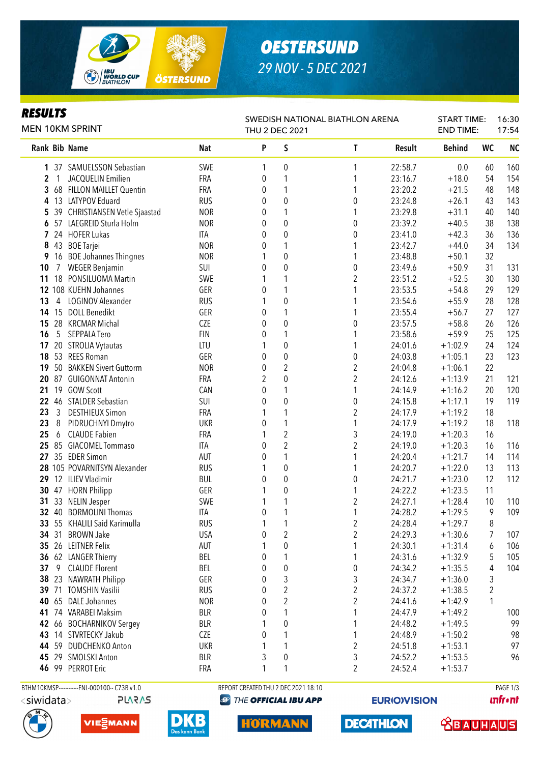

# *OESTERSUND 29 NOV - 5 DEC 2021*

### *RESULTS*

| KESULIS<br><b>MEN 10KM SPRINT</b> |                |                                  |            | SWEDISH NATIONAL BIATHLON ARENA<br>THU 2 DEC 2021 |                  |                         |         |               | <b>START TIME:</b><br><b>END TIME:</b> |           |
|-----------------------------------|----------------|----------------------------------|------------|---------------------------------------------------|------------------|-------------------------|---------|---------------|----------------------------------------|-----------|
|                                   |                | Rank Bib Name                    | Nat        | P                                                 | S                | T                       | Result  | <b>Behind</b> | <b>WC</b>                              | <b>NC</b> |
|                                   |                | 1 37 SAMUELSSON Sebastian        | SWE        | 1                                                 | 0                | 1                       | 22:58.7 | 0.0           | 60                                     | 160       |
| $\overline{\mathbf{c}}$           | $\mathbf{1}$   | <b>JACQUELIN Emilien</b>         | FRA        | 0                                                 | 1                | 1                       | 23:16.7 | $+18.0$       | 54                                     | 154       |
|                                   |                | 3 68 FILLON MAILLET Quentin      | FRA        | 0                                                 | 1                | 1                       | 23:20.2 | $+21.5$       | 48                                     | 148       |
| 4                                 |                | 13 LATYPOV Eduard                | <b>RUS</b> | 0                                                 | $\boldsymbol{0}$ | $\pmb{0}$               | 23:24.8 | $+26.1$       | 43                                     | 143       |
|                                   |                | 5 39 CHRISTIANSEN Vetle Sjaastad | <b>NOR</b> | 0                                                 | 1                | 1                       | 23:29.8 | $+31.1$       | 40                                     | 140       |
|                                   |                | 6 57 LAEGREID Sturla Holm        | <b>NOR</b> | 0                                                 | 0                | 0                       | 23:39.2 | $+40.5$       | 38                                     | 138       |
|                                   |                | 7 24 HOFER Lukas                 | ITA        | 0                                                 | 0                | $\boldsymbol{0}$        | 23:41.0 | $+42.3$       | 36                                     | 136       |
| 8                                 | 43             | <b>BOE</b> Tarjei                | <b>NOR</b> | 0                                                 | 1                | 1                       | 23:42.7 | $+44.0$       | 34                                     | 134       |
| 9                                 |                | 16 BOE Johannes Thingnes         | <b>NOR</b> | 1                                                 | 0                | 1                       | 23:48.8 | $+50.1$       | 32                                     |           |
| 10                                | 7              | <b>WEGER Benjamin</b>            | SUI        | 0                                                 | 0                | $\pmb{0}$               | 23:49.6 | $+50.9$       | 31                                     | 131       |
| 11                                | 18             | PONSILUOMA Martin                | SWE        | 1                                                 | 1                | $\overline{\mathbf{c}}$ | 23:51.2 | $+52.5$       | 30                                     | 130       |
|                                   |                | 12 108 KUEHN Johannes            | GER        | 0                                                 | 1                | 1                       | 23:53.5 | $+54.8$       | 29                                     | 129       |
| 13                                | 4              | LOGINOV Alexander                | <b>RUS</b> |                                                   | 0                |                         | 23:54.6 | $+55.9$       | 28                                     | 128       |
| 14                                |                | 15 DOLL Benedikt                 | GER        | 0                                                 | 1                | 1                       | 23:55.4 | $+56.7$       | 27                                     | 127       |
| 15                                | 28             | <b>KRCMAR Michal</b>             | CZE        | 0                                                 | 0                | $\pmb{0}$               | 23:57.5 | $+58.8$       | 26                                     | 126       |
| 16                                | 5              | SEPPALA Tero                     | <b>FIN</b> | 0                                                 | 1                | 1                       | 23:58.6 | $+59.9$       | 25                                     | 125       |
| 17 <sub>2</sub>                   |                | 20 STROLIA Vytautas              | LTU        | 1                                                 | $\pmb{0}$        | 1                       | 24:01.6 | $+1:02.9$     | 24                                     | 124       |
|                                   | 18 53          | <b>REES Roman</b>                | GER        | 0                                                 | $\boldsymbol{0}$ | $\boldsymbol{0}$        | 24:03.8 | $+1:05.1$     | 23                                     | 123       |
|                                   |                | 19 50 BAKKEN Sivert Guttorm      | <b>NOR</b> | $\boldsymbol{0}$                                  | $\overline{c}$   | $\overline{c}$          | 24:04.8 | $+1:06.1$     | 22                                     |           |
| 20                                | 87             | <b>GUIGONNAT Antonin</b>         | FRA        | 2                                                 | $\mathbf 0$      | $\overline{c}$          | 24:12.6 | $+1:13.9$     | 21                                     | 121       |
| 21                                | 19             | <b>GOW Scott</b>                 | CAN        | 0                                                 | 1                | 1                       | 24:14.9 | $+1:16.2$     | 20                                     | 120       |
| 22                                | 46             | <b>STALDER Sebastian</b>         | SUI        | 0                                                 | $\mathbf 0$      | $\boldsymbol{0}$        | 24:15.8 | $+1:17.1$     | 19                                     | 119       |
| 23                                | $\mathfrak{Z}$ | <b>DESTHIEUX Simon</b>           | FRA        |                                                   | 1                | $\overline{2}$          | 24:17.9 | $+1:19.2$     | 18                                     |           |
| 23                                | 8              | PIDRUCHNYI Dmytro                | <b>UKR</b> | 0                                                 | 1                | 1                       | 24:17.9 | $+1:19.2$     | 18                                     | 118       |
| 25                                | 6              | <b>CLAUDE Fabien</b>             | <b>FRA</b> | 1                                                 | $\overline{2}$   | 3                       | 24:19.0 | $+1:20.3$     | 16                                     |           |
|                                   |                | 25 85 GIACOMEL Tommaso           | ITA        | 0                                                 | $\overline{2}$   | $\overline{2}$          | 24:19.0 | $+1:20.3$     | 16                                     | 116       |
| 27                                |                | 35 EDER Simon                    | AUT        | 0                                                 | 1                | 1                       | 24:20.4 | $+1:21.7$     | 14                                     | 114       |
|                                   |                | 28 105 POVARNITSYN Alexander     | <b>RUS</b> |                                                   | $\boldsymbol{0}$ | 1                       | 24:20.7 | $+1:22.0$     | 13                                     | 113       |
|                                   |                | 29 12 ILIEV Vladimir             | BUL        | 0                                                 | 0                | $\boldsymbol{0}$        | 24:21.7 | $+1:23.0$     | 12                                     | 112       |
| 30                                |                | 47 HORN Philipp                  | GER        | 1                                                 | 0                | 1                       | 24:22.2 | $+1:23.5$     | 11                                     |           |
| 31                                | 33             | <b>NELIN Jesper</b>              | SWE        | 1                                                 | 1                | $\overline{\mathbf{c}}$ | 24:27.1 | $+1:28.4$     | 10                                     | 110       |
|                                   | 32 40          | <b>BORMOLINI Thomas</b>          | <b>ITA</b> | 0                                                 | 1                | 1                       | 24:28.2 | $+1:29.5$     | 9                                      | 109       |
|                                   |                | 33 55 KHALILI Said Karimulla     | <b>RUS</b> | 1                                                 | $\mathbf{1}$     | $\boldsymbol{2}$        | 24:28.4 | $+1:29.7$     | 8                                      |           |
|                                   | 34 31          | <b>BROWN Jake</b>                | <b>USA</b> | $\pmb{0}$                                         | $\boldsymbol{2}$ | $\overline{c}$          | 24:29.3 | $+1:30.6$     | $\overline{7}$                         | 107       |
|                                   |                | 35 26 LEITNER Felix              | AUT        | 1                                                 | 0                | 1                       | 24:30.1 | $+1:31.4$     | 6                                      | 106       |
|                                   |                | 36 62 LANGER Thierry             | BEL        | 0                                                 | 1                | 1                       | 24:31.6 | $+1:32.9$     | 5                                      | 105       |
| 37 <sub>2</sub>                   |                | 9 CLAUDE Florent                 | BEL        | 0                                                 | $\pmb{0}$        | $\pmb{0}$               | 24:34.2 | $+1:35.5$     | 4                                      | 104       |
|                                   |                | 38 23 NAWRATH Philipp            | GER        | 0                                                 | 3                | $\sqrt{3}$              | 24:34.7 | $+1:36.0$     | 3                                      |           |
|                                   |                | 39 71 TOMSHIN Vasilii            | <b>RUS</b> | 0                                                 | $\overline{c}$   | $\overline{2}$          | 24:37.2 | $+1:38.5$     | 2                                      |           |
|                                   |                | 40 65 DALE Johannes              | <b>NOR</b> | 0                                                 | $\overline{c}$   | $\overline{2}$          | 24:41.6 | $+1:42.9$     | 1                                      |           |
|                                   |                | 41 74 VARABEI Maksim             | <b>BLR</b> | 0                                                 | 1                | 1                       | 24:47.9 | $+1:49.2$     |                                        | 100       |
|                                   |                | 42 66 BOCHARNIKOV Sergey         | <b>BLR</b> |                                                   | 0                | 1                       | 24:48.2 | $+1:49.5$     |                                        | 99        |
|                                   |                | 43 14 STVRTECKY Jakub            | CZE        | 0                                                 | 1                | 1                       | 24:48.9 | $+1:50.2$     |                                        | 98        |
|                                   |                | 44 59 DUDCHENKO Anton            | <b>UKR</b> | 1                                                 | 1                | $\overline{c}$          | 24:51.8 | $+1:53.1$     |                                        | 97        |
|                                   |                | 45 29 SMOLSKI Anton              | <b>BLR</b> | 3                                                 | $\pmb{0}$        | 3                       | 24:52.2 | $+1:53.5$     |                                        | 96        |
|                                   |                | 46 99 PERROT Eric                | FRA        | 1                                                 | 1                | $\overline{c}$          | 24:52.4 | $+1:53.7$     |                                        |           |
|                                   |                |                                  |            |                                                   |                  |                         |         |               |                                        |           |

**PLARAS** 







BTHM10KMSP-----------FNL-000100-- C73B v1.0 REPORT CREATED THU 2 DEC 2021 18:10 REPORT CREATED THU 2 DEC 2021 18:10 **@ THE OFFICIAL IBU APP** 

**HORMANN** 

**EURIO)VISION** 

**DECATHLON** 

**unfront** 

 **<u>CBAUHAUS</u>**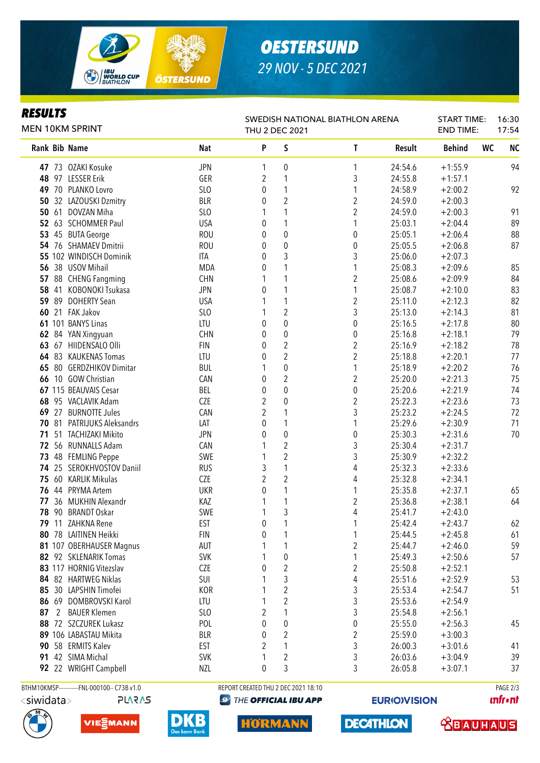

# *OESTERSUND 29 NOV - 5 DEC 2021*

#### *RESULTS*

| <b>MEN 10KM SPRINT</b> |   |                                              |                 | SWEDISH NATIONAL BIATHLON ARENA<br>THU 2 DEC 2021 |                                     |                         |         |               |           | 16:30<br>17:54 |  |
|------------------------|---|----------------------------------------------|-----------------|---------------------------------------------------|-------------------------------------|-------------------------|---------|---------------|-----------|----------------|--|
|                        |   | <b>Rank Bib Name</b>                         | <b>Nat</b>      | P                                                 | S                                   | T                       | Result  | <b>Behind</b> | <b>WC</b> | <b>NC</b>      |  |
|                        |   | 47 73 OZAKI Kosuke                           | <b>JPN</b>      | 1                                                 | 0                                   | 1                       | 24:54.6 | $+1:55.9$     |           | 94             |  |
| 48                     |   | 97 LESSER Erik                               | GER             | 2                                                 | 1                                   | 3                       | 24:55.8 | $+1:57.1$     |           |                |  |
| 49                     |   | 70 PLANKO Lovro                              | SLO             | 0                                                 | 1                                   | 1                       | 24:58.9 | $+2:00.2$     |           | 92             |  |
| 50                     |   | 32 LAZOUSKI Dzmitry                          | <b>BLR</b>      | 0                                                 | $\overline{2}$                      | 2                       | 24:59.0 | $+2:00.3$     |           |                |  |
| 50                     |   | 61 DOVZAN Miha                               | SLO             | 1                                                 | 1                                   | $\overline{c}$          | 24:59.0 | $+2:00.3$     |           | 91             |  |
|                        |   | 52 63 SCHOMMER Paul                          | <b>USA</b>      | 0                                                 | 1                                   | 1                       | 25:03.1 | $+2:04.4$     |           | 89             |  |
| 53                     |   | 45 BUTA George                               | <b>ROU</b>      | 0                                                 | $\pmb{0}$                           | $\mathbf 0$             | 25:05.1 | $+2:06.4$     |           | 88             |  |
|                        |   | 54 76 SHAMAEV Dmitrii                        | <b>ROU</b>      | 0                                                 | $\boldsymbol{0}$                    | $\mathbf 0$             | 25:05.5 | $+2:06.8$     |           | 87             |  |
|                        |   | 55 102 WINDISCH Dominik                      | ITA             | 0                                                 | 3                                   | 3                       | 25:06.0 | $+2:07.3$     |           |                |  |
|                        |   | 56 38 USOV Mihail                            | <b>MDA</b>      | 0                                                 | 1                                   | 1                       | 25:08.3 | $+2:09.6$     |           | 85             |  |
| 57                     |   | 88 CHENG Fangming                            | <b>CHN</b>      |                                                   | 1                                   | $\overline{2}$          | 25:08.6 | $+2:09.9$     |           | 84             |  |
| 58                     |   | 41 KOBONOKI Tsukasa                          | <b>JPN</b>      | 0                                                 | 1                                   | 1                       | 25:08.7 | $+2:10.0$     |           | 83             |  |
| 59                     |   | 89 DOHERTY Sean                              | <b>USA</b>      |                                                   | 1                                   | $\overline{\mathbf{c}}$ | 25:11.0 | $+2:12.3$     |           | 82             |  |
| 60                     |   | 21 FAK Jakov                                 | SLO             | 1                                                 | $\overline{2}$                      | 3                       | 25:13.0 | $+2:14.3$     |           | 81             |  |
|                        |   | 61 101 BANYS Linas                           | LTU             | 0                                                 | $\pmb{0}$                           | $\pmb{0}$               | 25:16.5 | $+2:17.8$     |           | 80             |  |
| 62                     |   | 84 YAN Xingyuan                              | <b>CHN</b>      | 0                                                 | $\mathbf 0$                         | $\boldsymbol{0}$        | 25:16.8 | $+2:18.1$     |           | 79             |  |
| 63                     |   | 67 HIIDENSALO Olli                           | <b>FIN</b>      | 0                                                 | $\overline{2}$                      | $\overline{2}$          | 25:16.9 | $+2:18.2$     |           | 78             |  |
|                        |   | 64 83 KAUKENAS Tomas                         | LTU             | 0                                                 | $\overline{2}$                      | $\overline{2}$          | 25:18.8 | $+2:20.1$     |           | 77             |  |
| 65                     |   | 80 GERDZHIKOV Dimitar                        | <b>BUL</b>      | 1                                                 | $\pmb{0}$                           | 1                       | 25:18.9 | $+2:20.2$     |           | 76             |  |
| 66                     |   | 10 GOW Christian                             | CAN             | 0                                                 | $\overline{2}$                      | $\overline{2}$          | 25:20.0 | $+2:21.3$     |           | 75             |  |
|                        |   | 67 115 BEAUVAIS Cesar                        | BEL             | 0                                                 | $\mathbf 0$                         | $\pmb{0}$               | 25:20.6 | $+2:21.9$     |           | 74             |  |
| 68                     |   | 95 VACLAVIK Adam                             | <b>CZE</b>      | $\overline{2}$                                    | 0                                   | 2                       | 25:22.3 | $+2:23.6$     |           | 73             |  |
| 69                     |   | 27 BURNOTTE Jules                            | CAN             | 2                                                 | 1                                   | 3                       | 25:23.2 | $+2:24.5$     |           | 72             |  |
| 70                     |   | 81 PATRIJUKS Aleksandrs                      | LAT             | 0                                                 |                                     | 1                       | 25:29.6 | $+2:30.9$     |           | 71             |  |
| 71                     |   | 51 TACHIZAKI Mikito                          | <b>JPN</b>      | 0                                                 | $\pmb{0}$                           | $\mathbf 0$             | 25:30.3 | $+2:31.6$     |           | 70             |  |
| 72                     |   | 56 RUNNALLS Adam                             | CAN             | 1                                                 | $\overline{\mathbf{c}}$             | 3                       | 25:30.4 | $+2:31.7$     |           |                |  |
| 73                     |   | 48 FEMLING Peppe                             | SWE             |                                                   | $\overline{2}$                      | 3                       | 25:30.9 | $+2:32.2$     |           |                |  |
| 74                     |   | 25 SEROKHVOSTOV Daniil                       | <b>RUS</b>      | 3                                                 | 1                                   | 4                       | 25:32.3 | $+2:33.6$     |           |                |  |
| 75                     |   | 60 KARLIK Mikulas                            | CZE             | $\overline{2}$                                    | $\overline{2}$                      | 4                       | 25:32.8 | $+2:34.1$     |           |                |  |
| 76                     |   | 44 PRYMA Artem                               | <b>UKR</b>      | 0                                                 | 1                                   | 1                       | 25:35.8 | $+2:37.1$     |           | 65             |  |
| 77                     |   | 36 MUKHIN Alexandr                           | KAZ             | 1                                                 | 1                                   | 2                       | 25:36.8 | $+2:38.1$     |           | 64             |  |
| 78                     |   | 90 BRANDT Oskar                              | SWE             | 1                                                 | 3                                   | 4                       | 25:41.7 | $+2:43.0$     |           |                |  |
|                        |   | 79 11 ZAHKNA Rene                            | EST             | 0                                                 | $\mathbf{1}$                        | 1                       | 25:42.4 | $+2:43.7$     |           | 62             |  |
|                        |   | 80 78 LAITINEN Heikki                        | <b>FIN</b>      | 0                                                 |                                     | 1                       | 25:44.5 | $+2:45.8$     |           | 61             |  |
|                        |   | 81 107 OBERHAUSER Magnus                     | AUT             |                                                   | 1                                   | 2                       | 25:44.7 | $+2:46.0$     |           | 59             |  |
|                        |   | 82 92 SKLENARIK Tomas                        | <b>SVK</b>      |                                                   | $\pmb{0}$                           | 1                       | 25:49.3 | $+2:50.6$     |           | 57             |  |
|                        |   | 83 117 HORNIG Vitezslav                      | CZE             | 0                                                 | $\overline{c}$                      | $\overline{\mathbf{c}}$ | 25:50.8 | $+2:52.1$     |           |                |  |
|                        |   | 84 82 HARTWEG Niklas                         | SUI             |                                                   | 3                                   | 4                       | 25:51.6 | $+2:52.9$     |           | 53             |  |
|                        |   | 85 30 LAPSHIN Timofei                        | KOR             |                                                   | $\overline{\mathbf{c}}$             | 3                       | 25:53.4 | $+2:54.7$     |           | 51             |  |
|                        |   | 86 69 DOMBROVSKI Karol                       | LTU             |                                                   | $\overline{c}$                      | 3                       | 25:53.6 | $+2:54.9$     |           |                |  |
| 87                     | 2 | <b>BAUER Klemen</b>                          | SL <sub>0</sub> | 2                                                 | 1                                   | 3                       | 25:54.8 | $+2:56.1$     |           |                |  |
|                        |   | 88 72 SZCZUREK Lukasz                        | POL             | 0                                                 | $\pmb{0}$                           | $\pmb{0}$               | 25:55.0 | $+2:56.3$     |           | 45             |  |
|                        |   | 89 106 LABASTAU Mikita                       | <b>BLR</b>      | 0                                                 | 2                                   | 2                       | 25:59.0 | $+3:00.3$     |           |                |  |
|                        |   | 90 58 ERMITS Kalev                           | <b>EST</b>      | 2                                                 | 1                                   | 3                       | 26:00.3 | $+3:01.6$     |           | 41             |  |
|                        |   | 91 42 SIMA Michal                            | <b>SVK</b>      |                                                   | 2                                   | 3                       | 26:03.6 | $+3:04.9$     |           | 39             |  |
|                        |   | 92 22 WRIGHT Campbell                        | <b>NZL</b>      | 0                                                 | 3                                   | 3                       | 26:05.8 | $+3:07.1$     |           | 37             |  |
|                        |   |                                              |                 |                                                   |                                     |                         |         |               |           |                |  |
|                        |   | BTHM10KMSP------------FNL-000100-- C73B v1.0 |                 |                                                   | REPORT CREATED THU 2 DEC 2021 18:10 |                         |         |               |           | PAGE 2/3       |  |

<siwidata>

**PLARAS** 







**@ THE OFFICIAL IBU APP** 

**HORMANN** 

**EURIO)VISION** 

**DECATHLON** 

**unfront** 

**SBAUHAUS**